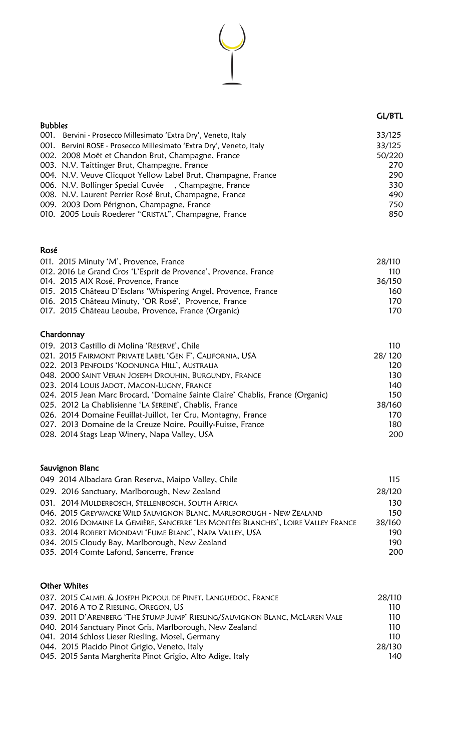## GL/BTL

| <b>Bubbles</b> |                                                                     |        |
|----------------|---------------------------------------------------------------------|--------|
|                | 001. Bervini - Prosecco Millesimato 'Extra Dry', Veneto, Italy      | 33/125 |
|                | 001. Bervini ROSE - Prosecco Millesimato 'Extra Dry', Veneto, Italy | 33/125 |
|                | 002. 2008 Moët et Chandon Brut, Champagne, France                   | 50/220 |
|                | 003. N.V. Taittinger Brut, Champagne, France                        | 270    |
|                | 004. N.V. Veuve Clicquot Yellow Label Brut, Champagne, France       | 290    |
|                | 006. N.V. Bollinger Special Cuvée , Champagne, France               | 330    |
|                | 008. N.V. Laurent Perrier Rosé Brut, Champagne, France              | 490    |
|                | 009. 2003 Dom Pérignon, Champagne, France                           | 750    |
|                | 010. 2005 Louis Roederer "CRISTAL", Champagne, France               | 850    |

### Rosé

| 011. 2015 Minuty 'M', Provence, France                           | 28/110 |
|------------------------------------------------------------------|--------|
| 012. 2016 Le Grand Cros 'L'Esprit de Provence', Provence, France | 110    |
| 014. 2015 AIX Rosé, Provence, France                             | 36/150 |
| 015. 2015 Château D'Esclans 'Whispering Angel, Provence, France  | 160    |
| 016. 2015 Château Minuty, 'OR Rosé', Provence, France            | 170.   |
| 017. 2015 Château Leoube, Provence, France (Organic)             | 170.   |
|                                                                  |        |

# Chardonnay

| 019. 2013 Castillo di Molina 'RESERVE', Chile                                  | 110    |
|--------------------------------------------------------------------------------|--------|
| 021. 2015 FAIRMONT PRIVATE LABEL 'GEN F', CALIFORNIA, USA                      | 28/120 |
| 022. 2013 PENFOLDS 'KOONUNGA HILL', AUSTRALIA                                  | 120    |
| 048. 2000 SAINT VERAN JOSEPH DROUHIN, BURGUNDY, FRANCE                         | 130    |
| 023. 2014 LOUIS JADOT, MACON-LUGNY, FRANCE                                     | 140    |
| 024. 2015 Jean Marc Brocard, 'Domaine Sainte Claire' Chablis, France (Organic) | 150    |
| 025. 2012 La Chablisienne 'LA SEREINE', Chablis, France                        | 38/160 |
| 026. 2014 Domaine Feuillat-Juillot, 1er Cru, Montagny, France                  | 170    |
| 027. 2013 Domaine de la Creuze Noire, Pouilly-Fuisse, France                   | 180    |
| 028. 2014 Stags Leap Winery, Napa Valley, USA                                  | 200    |
|                                                                                |        |

# Sauvignon Blanc

| 049 2014 Albaclara Gran Reserva, Maipo Valley, Chile                               | 115    |
|------------------------------------------------------------------------------------|--------|
| 029. 2016 Sanctuary, Marlborough, New Zealand                                      | 28/120 |
| 031. 2014 MULDERBOSCH, STELLENBOSCH, SOUTH AFRICA                                  | 130    |
| 046. 2015 GREYWACKE WILD SAUVIGNON BLANC, MARLBOROUGH - NEW ZEALAND                | 150    |
| 032. 2016 DOMAINE LA GEMIÈRE, SANCERRE 'LES MONTÉES BLANCHES', LOIRE VALLEY FRANCE | 38/160 |
| 033. 2014 ROBERT MONDAVI 'FUME BLANC', NAPA VALLEY, USA                            | 190    |
| 034. 2015 Cloudy Bay, Marlborough, New Zealand                                     | 190    |
| 035. 2014 Comte Lafond, Sancerre, France                                           | 200    |

# Other Whites

| 037. 2015 CALMEL & JOSEPH PICPOUL DE PINET, LANGUEDOC, FRANCE                | 28/110 |
|------------------------------------------------------------------------------|--------|
| 047. 2016 A TO Z RIESLING, OREGON, US                                        | 110    |
| 039. 2011 D'ARENBERG 'THE STUMP JUMP' RIESLING/SAUVIGNON BLANC, MCLAREN VALE | 110    |
| 040. 2014 Sanctuary Pinot Gris, Marlborough, New Zealand                     | 110    |
| 041. 2014 Schloss Lieser Riesling, Mosel, Germany                            | 110    |
| 044. 2015 Placido Pinot Grigio, Veneto, Italy                                | 28/130 |
| 045. 2015 Santa Margherita Pinot Grigio, Alto Adige, Italy                   | 140    |